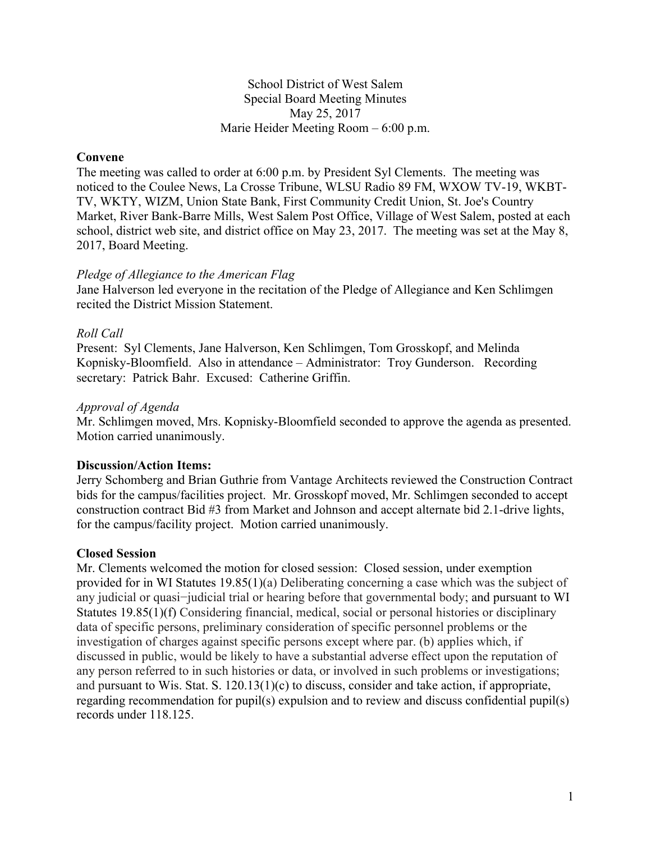## School District of West Salem Special Board Meeting Minutes May 25, 2017 Marie Heider Meeting Room – 6:00 p.m.

## **Convene**

The meeting was called to order at 6:00 p.m. by President Syl Clements. The meeting was noticed to the Coulee News, La Crosse Tribune, WLSU Radio 89 FM, WXOW TV-19, WKBT-TV, WKTY, WIZM, Union State Bank, First Community Credit Union, St. Joe's Country Market, River Bank-Barre Mills, West Salem Post Office, Village of West Salem, posted at each school, district web site, and district office on May 23, 2017. The meeting was set at the May 8, 2017, Board Meeting.

#### *Pledge of Allegiance to the American Flag*

Jane Halverson led everyone in the recitation of the Pledge of Allegiance and Ken Schlimgen recited the District Mission Statement.

#### *Roll Call*

Present: Syl Clements, Jane Halverson, Ken Schlimgen, Tom Grosskopf, and Melinda Kopnisky-Bloomfield. Also in attendance – Administrator: Troy Gunderson. Recording secretary: Patrick Bahr. Excused: Catherine Griffin.

#### *Approval of Agenda*

Mr. Schlimgen moved, Mrs. Kopnisky-Bloomfield seconded to approve the agenda as presented. Motion carried unanimously.

#### **Discussion/Action Items:**

Jerry Schomberg and Brian Guthrie from Vantage Architects reviewed the Construction Contract bids for the campus/facilities project. Mr. Grosskopf moved, Mr. Schlimgen seconded to accept construction contract Bid #3 from Market and Johnson and accept alternate bid 2.1-drive lights, for the campus/facility project. Motion carried unanimously.

#### **Closed Session**

Mr. Clements welcomed the motion for closed session: Closed session, under exemption provided for in WI Statutes 19.85(1)(a) Deliberating concerning a case which was the subject of any judicial or quasi−judicial trial or hearing before that governmental body; and pursuant to WI Statutes 19.85(1)(f) Considering financial, medical, social or personal histories or disciplinary data of specific persons, preliminary consideration of specific personnel problems or the investigation of charges against specific persons except where par. (b) applies which, if discussed in public, would be likely to have a substantial adverse effect upon the reputation of any person referred to in such histories or data, or involved in such problems or investigations; and pursuant to Wis. Stat. S. 120.13(1)(c) to discuss, consider and take action, if appropriate, regarding recommendation for pupil(s) expulsion and to review and discuss confidential pupil(s) records under 118.125.